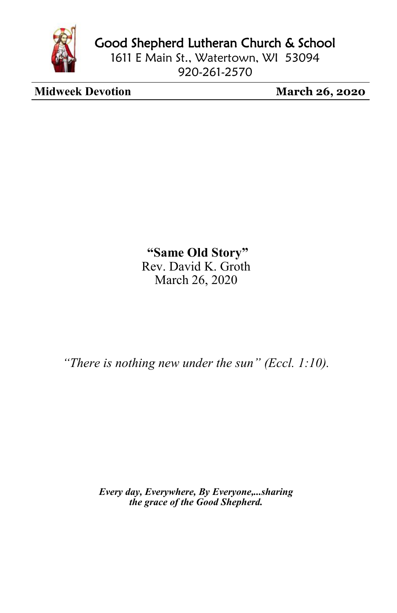

Good Shepherd Lutheran Church & School

1611 E Main St., Watertown, WI 53094 920-261-2570

**Midweek Devotion**<br> **March 26, 2020** 

**"Same Old Story"** Rev. David K. Groth March 26, 2020

*"There is nothing new under the sun" (Eccl. 1:10).*

*Every day, Everywhere, By Everyone,...sharing the grace of the Good Shepherd.*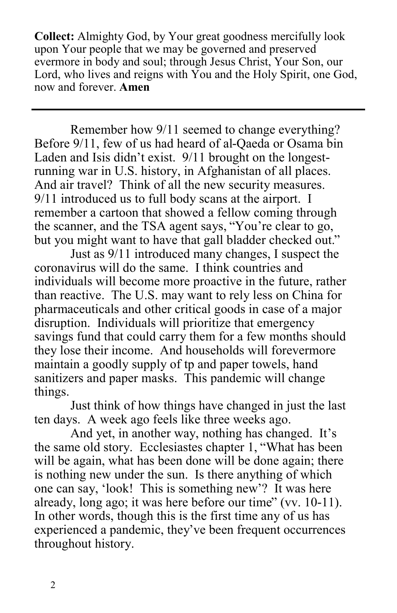**Collect:** Almighty God, by Your great goodness mercifully look upon Your people that we may be governed and preserved evermore in body and soul; through Jesus Christ, Your Son, our Lord, who lives and reigns with You and the Holy Spirit, one God, now and forever. **Amen**

Remember how 9/11 seemed to change everything? Before 9/11, few of us had heard of al-Qaeda or Osama bin Laden and Isis didn't exist. 9/11 brought on the longestrunning war in U.S. history, in Afghanistan of all places. And air travel? Think of all the new security measures. 9/11 introduced us to full body scans at the airport. I remember a cartoon that showed a fellow coming through the scanner, and the TSA agent says, "You're clear to go, but you might want to have that gall bladder checked out."

Just as 9/11 introduced many changes, I suspect the coronavirus will do the same. I think countries and individuals will become more proactive in the future, rather than reactive. The U.S. may want to rely less on China for pharmaceuticals and other critical goods in case of a major disruption. Individuals will prioritize that emergency savings fund that could carry them for a few months should they lose their income. And households will forevermore maintain a goodly supply of tp and paper towels, hand sanitizers and paper masks. This pandemic will change things.

Just think of how things have changed in just the last ten days. A week ago feels like three weeks ago.

And yet, in another way, nothing has changed. It's the same old story. Ecclesiastes chapter 1, "What has been will be again, what has been done will be done again; there is nothing new under the sun. Is there anything of which one can say, 'look! This is something new'? It was here already, long ago; it was here before our time" (vv. 10-11). In other words, though this is the first time any of us has experienced a pandemic, they've been frequent occurrences throughout history.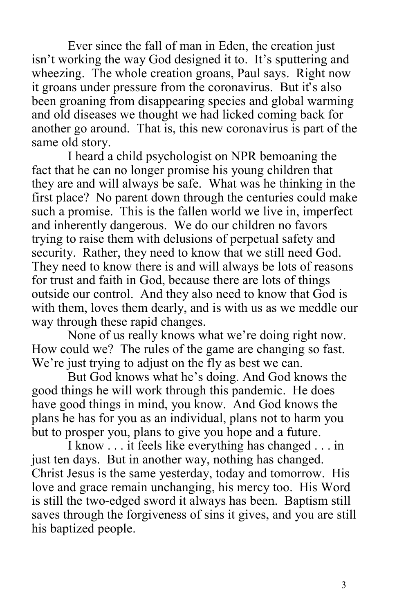Ever since the fall of man in Eden, the creation just isn't working the way God designed it to. It's sputtering and wheezing. The whole creation groans, Paul says. Right now it groans under pressure from the coronavirus. But it's also been groaning from disappearing species and global warming and old diseases we thought we had licked coming back for another go around. That is, this new coronavirus is part of the same old story.

I heard a child psychologist on NPR bemoaning the fact that he can no longer promise his young children that they are and will always be safe. What was he thinking in the first place? No parent down through the centuries could make such a promise. This is the fallen world we live in, imperfect and inherently dangerous. We do our children no favors trying to raise them with delusions of perpetual safety and security. Rather, they need to know that we still need God. They need to know there is and will always be lots of reasons for trust and faith in God, because there are lots of things outside our control. And they also need to know that God is with them, loves them dearly, and is with us as we meddle our way through these rapid changes.

None of us really knows what we're doing right now. How could we? The rules of the game are changing so fast. We're just trying to adjust on the fly as best we can.

But God knows what he's doing. And God knows the good things he will work through this pandemic. He does have good things in mind, you know. And God knows the plans he has for you as an individual, plans not to harm you but to prosper you, plans to give you hope and a future.

I know . . . it feels like everything has changed . . . in just ten days. But in another way, nothing has changed. Christ Jesus is the same yesterday, today and tomorrow. His love and grace remain unchanging, his mercy too. His Word is still the two-edged sword it always has been. Baptism still saves through the forgiveness of sins it gives, and you are still his baptized people.